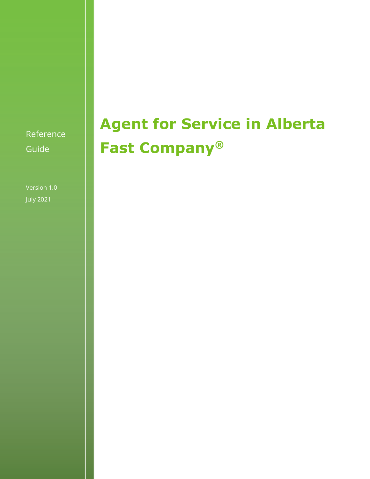Reference Guide

Version 1.0 July 2021

# **Agent for Service in Alberta Fast Company®**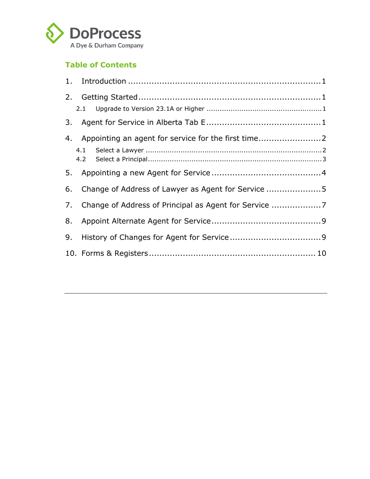

### **Table of Contents**

| 2. |                                                       |  |
|----|-------------------------------------------------------|--|
|    |                                                       |  |
| 3. |                                                       |  |
|    | 4. Appointing an agent for service for the first time |  |
|    |                                                       |  |
|    |                                                       |  |
|    |                                                       |  |
| 6. | Change of Address of Lawyer as Agent for Service 5    |  |
| 7. |                                                       |  |
| 8. |                                                       |  |
| 9. |                                                       |  |
|    |                                                       |  |
|    |                                                       |  |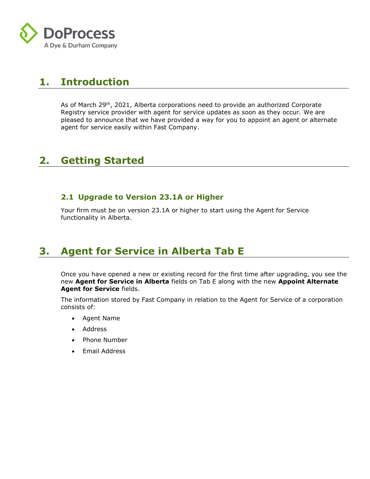

### **1. Introduction**

As of March 29<sup>th</sup>, 2021, Alberta corporations need to provide an authorized Corporate Registry service provider with agent for service updates as soon as they occur. We are pleased to announce that we have provided a way for you to appoint an agent or alternate agent for service easily within Fast Company.

### **2. Getting Started**

#### **2.1 Upgrade to Version 23.1A or Higher**

Your firm must be on version 23.1A or higher to start using the Agent for Service functionality in Alberta.

### **3. Agent for Service in Alberta Tab E**

Once you have opened a new or existing record for the first time after upgrading, you see the new **Agent for Service in Alberta** fields on Tab E along with the new **Appoint Alternate Agent for Service** fields.

The information stored by Fast Company in relation to the Agent for Service of a corporation consists of:

- Agent Name
- **Address**
- Phone Number
- Email Address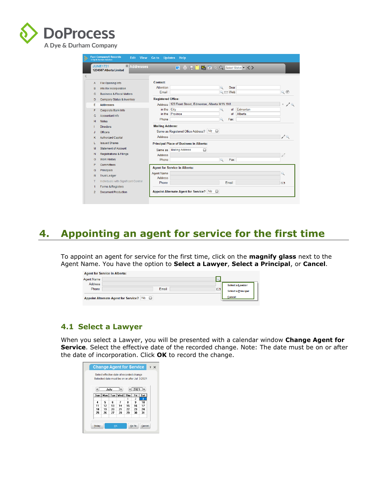

|         | $\mathbf{x}$<br><b>JUNE1721</b><br><b>Addresses</b><br>1234567 Alberta Limited |                           |                                                     |        |               |          |                             |
|---------|--------------------------------------------------------------------------------|---------------------------|-----------------------------------------------------|--------|---------------|----------|-----------------------------|
|         |                                                                                |                           |                                                     |        |               |          |                             |
| А       | File Opening Info                                                              | Contact:                  |                                                     |        |               |          |                             |
| B       | Info Re Incorporation                                                          | <b>Attention</b>          |                                                     | Q      | Dear          |          |                             |
| c       | <b>Business &amp; Fiscal Matters</b>                                           | Email                     |                                                     |        | Q E Web       |          | Q                           |
| D       | Company Status & Inventory                                                     | <b>Registered Office:</b> |                                                     |        |               |          |                             |
| Е       | <b>Addresses</b>                                                               |                           | Address 123 Front Street, Edmonton, Alberta M1N 1N1 |        |               |          | 4                           |
| F       | Corporate Bank Info                                                            | in the City               |                                                     | Q      | <sub>of</sub> | Edmonton |                             |
| G       | <b>Accountant Info</b>                                                         |                           | in the Province                                     |        | of            | Alberta  |                             |
| H       | <b>Notes</b>                                                                   | Phone                     |                                                     | Q      | <b>Fax</b>    |          |                             |
|         | <b>Directors</b>                                                               | <b>Mailing Address:</b>   |                                                     |        |               |          |                             |
| J.      | <b>Officers</b>                                                                |                           | Same as Registered Office Address? N/y              | $\Box$ |               |          |                             |
| Κ       | <b>Authorized Capital</b>                                                      | <b>Address</b>            |                                                     |        |               |          | $\mathscr{D}^{\mathcal{Q}}$ |
| L       | <b>Issued Shares</b>                                                           |                           | <b>Principal Place of Business in Alberta:</b>      |        |               |          |                             |
| м       | <b>Statement of Account</b>                                                    | Same as                   | <b>Mailing Address</b>                              | $\Box$ |               |          |                             |
| N       | <b>Registrations &amp; Filings</b>                                             | <b>Address</b>            |                                                     |        |               |          |                             |
| $\circ$ | <b>Work History</b>                                                            | Phone                     |                                                     | Q      | Fax           |          |                             |
| P       | Committees                                                                     |                           |                                                     |        |               |          |                             |
| Q       | Principals                                                                     |                           | <b>Agent for Service in Alberta:</b>                |        |               |          |                             |
| R       | <b>Trust Ledger</b>                                                            | <b>Agent Name</b>         |                                                     |        |               |          | Q                           |
|         |                                                                                | <b>Address</b>            |                                                     |        |               |          |                             |
|         | Individuals with Significant Control                                           | Phone                     |                                                     |        | Email         |          | Г.                          |
| т<br>1  | Forms & Registers                                                              |                           |                                                     |        |               |          |                             |

### **4. Appointing an agent for service for the first time**

To appoint an agent for service for the first time, click on the **magnify glass** next to the Agent Name. You have the option to **Select a Lawyer**, **Select a Principal**, or **Cancel**.

| <b>Agent for Service in Alberta:</b> |                                          |                                 |
|--------------------------------------|------------------------------------------|---------------------------------|
| <b>Agent Name</b>                    |                                          |                                 |
| Address                              |                                          | Select a Lawyer                 |
| Phone                                | Email                                    | r.<br><b>Select a Principal</b> |
|                                      | Appoint Alternate Agent for Service? N/y | Cancel                          |

#### **4.1 Select a Lawyer**

When you select a Lawyer, you will be presented with a calendar window **Change Agent for Service**. Select the effective date of the recorded change. Note: The date must be on or after the date of incorporation. Click **OK** to record the change.

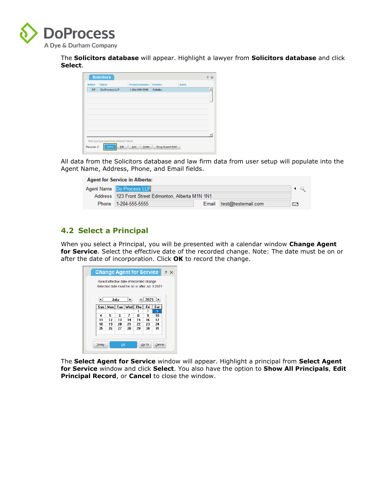

The **Solicitors database** will appear. Highlight a lawyer from **Solicitors database** and click **Select**.

| <b>Initials</b> | <b>Name</b>                                 | <b>Phone/Extension</b> | <b>Position</b> | <b>Notes</b> |  |
|-----------------|---------------------------------------------|------------------------|-----------------|--------------|--|
| <b>DP</b>       | Do Process LLP                              | 1-204-555-5555         | Solicitor       |              |  |
|                 |                                             |                        |                 |              |  |
|                 |                                             |                        |                 |              |  |
|                 |                                             |                        |                 |              |  |
|                 |                                             |                        |                 |              |  |
|                 |                                             |                        |                 |              |  |
|                 |                                             |                        |                 |              |  |
|                 |                                             |                        |                 |              |  |
|                 |                                             |                        |                 |              |  |
|                 |                                             |                        |                 |              |  |
|                 | Start typing to search for desired Initials |                        |                 |              |  |

All data from the Solicitors database and law firm data from user setup will populate into the Agent Name, Address, Phone, and Email fields.

| <b>Agent for Service in Alberta:</b>                 |                          |    |
|------------------------------------------------------|--------------------------|----|
| Agent Name Do Process LLP                            |                          |    |
| Address   123 Front Street Edmonton, Alberta M1N 1N1 |                          |    |
| Phone 1-204-555-5555                                 | Email test@testemail.com | ГF |
|                                                      |                          |    |

#### **4.2 Select a Principal**

When you select a Principal, you will be presented with a calendar window **Change Agent for Service**. Select the effective date of the recorded change. Note: The date must be on or after the date of incorporation. Click **OK** to record the change.

|       |    |      | Select effective date of recorded change<br>Selected date must be on or after Jul 3 2021 |    |                          |                |
|-------|----|------|------------------------------------------------------------------------------------------|----|--------------------------|----------------|
|       |    |      |                                                                                          |    |                          |                |
| ◀     |    | July | $\blacktriangleright$                                                                    |    | 2021                     | $\blacksquare$ |
| Sun I |    |      | Mon   Tue   Wed   Thu                                                                    |    | Fri                      | Sat            |
|       |    |      |                                                                                          | 1  | $\overline{\phantom{a}}$ | 3              |
| 4     | 5  | Б    | 7                                                                                        | 8  | 9                        | 10             |
| 11    | 12 | 13   | 14                                                                                       | 15 | 16                       | 17             |
| 18    | 19 | 20   | 21                                                                                       | 22 | 23                       | 24             |
| 25    | 26 | 27   | 28                                                                                       | 29 | 30                       | 31             |
|       |    |      |                                                                                          |    |                          |                |

The **Select Agent for Service** window will appear. Highlight a principal from **Select Agent for Service** window and click **Select**. You also have the option to **Show All Principals**, **Edit Principal Record**, or **Cancel** to close the window.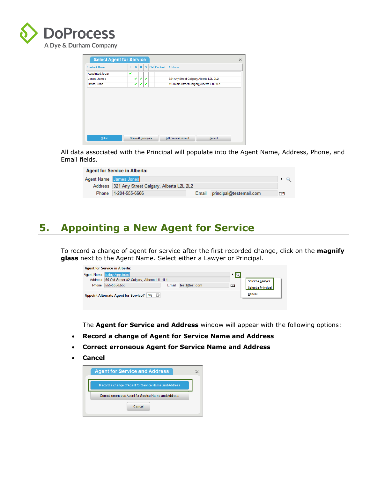

| <b>Contact Name</b> |   | D | $\bf{0}$ | s | <b>CM</b> Contact | <b>Address</b>                           |  |
|---------------------|---|---|----------|---|-------------------|------------------------------------------|--|
| Appointed, today    | ے |   |          |   |                   |                                          |  |
| Jones, James        |   | ✔ | ے        | v |                   | 321 Any Street Calgary, Alberta L2L 2L2  |  |
| Smith, John         |   | ✔ | ✔        | ✔ |                   | 123 Main Street Calgary, Alberta L1L 1L1 |  |
|                     |   |   |          |   |                   |                                          |  |
|                     |   |   |          |   |                   |                                          |  |
|                     |   |   |          |   |                   |                                          |  |
|                     |   |   |          |   |                   |                                          |  |
|                     |   |   |          |   |                   |                                          |  |

All data associated with the Principal will populate into the Agent Name, Address, Phone, and Email fields.

| <b>Agent for Service in Alberta:</b>            |       |                         |     |
|-------------------------------------------------|-------|-------------------------|-----|
| <b>Agent Name</b> James Jones                   |       |                         |     |
| Address 321 Any Street Calgary, Alberta L2L 2L2 |       |                         |     |
| Phone 1-204-555-6666                            | Email | principal@testemail.com | T-Y |

### **5. Appointing a New Agent for Service**

To record a change of agent for service after the first recorded change, click on the **magnify glass** next to the Agent Name. Select either a Lawyer or Principal.

|       | <b>Agent Name today Appointed</b>                 |       |               |   |                           |
|-------|---------------------------------------------------|-------|---------------|---|---------------------------|
|       | Address 55 Old Street #2 Calgary, Alberta L1L 1L1 |       |               |   | <b>Select a Lawyer</b>    |
| Phone | 555-555-5555                                      | Email | test@test.com | E | <b>Select a Principal</b> |
|       | Appoint Alternate Agent for Service? N/y          |       |               |   | Cancel                    |

The **Agent for Service and Address** window will appear with the following options:

- **Record a change of Agent for Service Name and Address**
- **Correct erroneous Agent for Service Name and Address**
- **Cancel**

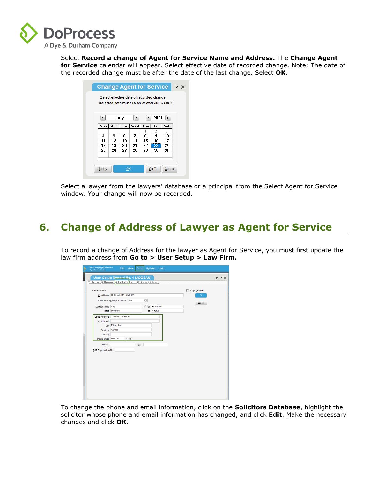

Select **Record a change of Agent for Service Name and Address.** The **Change Agent for Service** calendar will appear. Select effective date of recorded change. Note: The date of the recorded change must be after the date of the last change. Select **OK**.

|                      |    |      | Select effective date of recorded change |    |       | Selected date must be on or after Jul 6 2021 |
|----------------------|----|------|------------------------------------------|----|-------|----------------------------------------------|
| $\blacktriangleleft$ |    | July | ٠                                        |    |       | $2021$   $\blacktriangleright$               |
| Sun I                |    |      | Mon   Tue   Wed   Thu                    |    | Fri   | Sat                                          |
|                      |    |      |                                          | 1  | 2     | з                                            |
| 4                    | 5  | 6    | 7                                        | 8  | 9     | 10                                           |
| 11                   | 12 | 13   | 14                                       | 15 | 16    | 17                                           |
| 18                   | 19 | 20   | 21                                       | 22 | 23    | 24                                           |
| 25                   | 26 | 27   | 28                                       | 29 | 30    | 31                                           |
| Today                |    | OK   |                                          |    | Go To | Cancel                                       |

Select a lawyer from the lawyers' database or a principal from the Select Agent for Service window. Your change will now be recorded.

### **6. Change of Address of Lawyer as Agent for Service**

To record a change of Address for the lawyer as Agent for Service, you must first update the law firm address from **Go to > User Setup > Law Firm.** 

| Fast Company® Records<br>A Dye& Durham Solution<br>þ                             | Edit View<br><b>Updates</b><br>Help<br>Go to                                                                                                                                                                                                                                                                 |                   |
|----------------------------------------------------------------------------------|--------------------------------------------------------------------------------------------------------------------------------------------------------------------------------------------------------------------------------------------------------------------------------------------------------------|-------------------|
|                                                                                  | User Setup Record No. 1 (JODEAN)                                                                                                                                                                                                                                                                             | $\Box$ ? $\times$ |
|                                                                                  |                                                                                                                                                                                                                                                                                                              |                   |
| Law Firm Info<br>Located in the City<br>StreetAddress<br>(continued)<br>Province | 1. User Info / 2. Directories 3. Law Firm / 3. Misc. / 5. Groups / 6. Rights /<br>Adopt Defaults<br>Firm Name DPSL Alberta Law Firm<br>OK<br>$\Box$<br>Is this firm a sole practitioner? No<br>Cancel<br>Edmonton<br>of<br>of Alberta<br>In the Province<br>123 Front Street. #2<br>City Edmonton<br>Alberta |                   |
| Country                                                                          |                                                                                                                                                                                                                                                                                                              |                   |
| Postal Code M1N 1N1                                                              | $Q$ G                                                                                                                                                                                                                                                                                                        |                   |
| Phone                                                                            | Fax                                                                                                                                                                                                                                                                                                          |                   |
| <b>GST Registration No.</b>                                                      |                                                                                                                                                                                                                                                                                                              |                   |

To change the phone and email information, click on the **Solicitors Database**, highlight the solicitor whose phone and email information has changed, and click **Edit**. Make the necessary changes and click **OK**.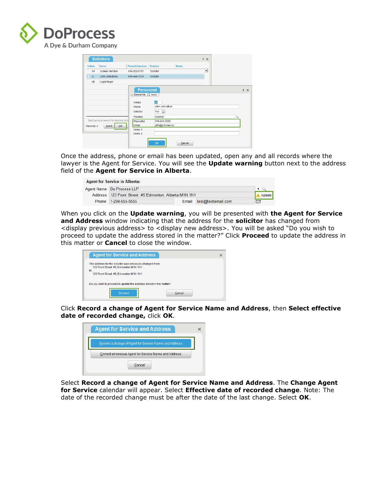

| <b>Initials</b> | <b>Name</b>                               | <b>Phone/Extension</b>        | <b>Position</b>               | <b>Notes</b> |   |   |
|-----------------|-------------------------------------------|-------------------------------|-------------------------------|--------------|---|---|
| <b>JH</b>       | Jodean Hendrie                            | 416-322-6111                  | <b>Solicitor</b>              |              | ∸ |   |
| JJ.             | John Johnathan                            | 416-444-3333                  | Solicitor                     |              |   |   |
| LB              | Legal Begal                               |                               |                               |              |   |   |
|                 |                                           | Initials<br>Name<br>Solicitor | IJ<br>John Johnathan<br>Yes a |              |   |   |
|                 | Start typing to search for desired Initia | Position                      | Solicitor<br>416-444-3333     |              |   | Q |
|                 | Edit<br>Select                            | Phone/Ext<br>Email            | john@johnlaw.ca               |              |   |   |
| Records: 4      |                                           | Notes <sub>1</sub>            |                               |              |   |   |

Once the address, phone or email has been updated, open any and all records where the lawyer is the Agent for Service. You will see the **Update warning** button next to the address field of the **Agent for Service in Alberta**.

| <b>Agent for Service in Alberta:</b> |                                                          |  |                          |             |        |  |  |
|--------------------------------------|----------------------------------------------------------|--|--------------------------|-------------|--------|--|--|
|                                      | Agent Name   Do Process LLP                              |  |                          |             |        |  |  |
|                                      | Address   123 Front Street. #5 Edmonton. Alberta M1N 1N1 |  |                          |             | Update |  |  |
|                                      | Phone 1-204-555-5555                                     |  | Email test@testemail.com | <b>Test</b> |        |  |  |

When you click on the **Update warning**, you will be presented with **the Agent for Service and Address** window indicating that the address for the **solicitor** has changed from <display previous address> to <display new address>. You will be asked "Do you wish to proceed to update the address stored in the matter?" Click **Proceed** to update the address in this matter or **Cancel** to close the window.

| <b>Agent for Service and Address</b>                                                                                                                  | × |
|-------------------------------------------------------------------------------------------------------------------------------------------------------|---|
| The address for the solicitor was previously changed from:<br>123 Front Street, #5, Edmonton M1N 1N1<br>to:<br>123 Front Street, #6. Edmonton M1N 1N1 |   |
| Do you wish to proceed to update the address stored in the matter?                                                                                    |   |
| Proceed<br>Cancel                                                                                                                                     |   |

Click **Record a change of Agent for Service Name and Address**, then **Select effective date of recorded change,** click **OK**.

| <b>Agent for Service and Address</b>                  |  |
|-------------------------------------------------------|--|
| Record a change of Agent for Service Name and Address |  |
| Correct erroneous Agent for Service Name and Address  |  |
| Cancel                                                |  |

Select **Record a change of Agent for Service Name and Address**. The **Change Agent for Service** calendar will appear. Select **Effective date of recorded change**. Note: The date of the recorded change must be after the date of the last change. Select **OK**.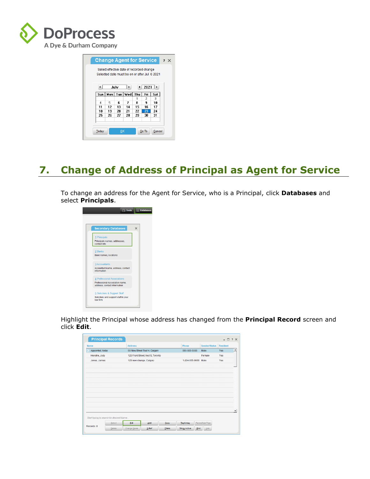

| <b>Change Agent for Service</b><br>$? \times$<br>Select effective date of recorded change<br>Selected date must be on or after Jul 6 2021 |    |      |                       |    |       |        |  |  |
|-------------------------------------------------------------------------------------------------------------------------------------------|----|------|-----------------------|----|-------|--------|--|--|
| ◢                                                                                                                                         |    | July | ٠                     |    | 2021  | ⊩      |  |  |
| Sun I                                                                                                                                     |    |      | Mon   Tue   Wed   Thu |    | Fri   | Sat    |  |  |
|                                                                                                                                           |    |      |                       | 1  | 2     | З      |  |  |
| 4                                                                                                                                         | 5  | 6    | 7                     | 8  | 9     | 10     |  |  |
| 11                                                                                                                                        | 12 | 13   | 14                    | 15 | 16    | 17     |  |  |
| 18                                                                                                                                        | 19 | 20   | 21                    | 22 | 23    | 24     |  |  |
| 25                                                                                                                                        | 26 | 27   | 28                    | 29 | 30    | 31     |  |  |
| <b>Today</b>                                                                                                                              |    | OK   |                       |    | Go To | Cancel |  |  |

## **7. Change of Address of Principal as Agent for Service**

To change an address for the Agent for Service, who is a Principal, click **Databases** and select **Principals**.

| <b>Secondary Databases</b>                                                                    | $\times$ |
|-----------------------------------------------------------------------------------------------|----------|
| 1 Principals<br>Principals names, addresses.<br>contact info                                  |          |
| 2 Banks<br>Bank names, locations                                                              |          |
| 3 Accountants<br>Accountant name, address, contact<br>information                             |          |
| 4 Professional Associations<br>Professional Association name,<br>address, contact information |          |
| 5 Solicitors & Support Staff<br>Solicitors and support staff in your<br>law firm              |          |

Highlight the Principal whose address has changed from the **Principal Record** screen and click **Edit**.

| <b>Name</b>                             | <b>Address</b> |                                    |      | Phone          | <b>Gender/Status</b> | <b>Resident</b> |
|-----------------------------------------|----------------|------------------------------------|------|----------------|----------------------|-----------------|
| Appointed, today                        |                | 55 New Street Test 4, Calgary      |      | 555-555-5555   | Male                 | Yes             |
| Hendrie, Jody                           |                | 123 Front Street,I test 5, Toronto |      |                | Female               | Yes             |
| Jones, James                            |                | 123 new change, Calgary            |      | 1-204-555-6666 | Male                 | Yes             |
|                                         |                |                                    |      |                |                      |                 |
|                                         |                |                                    |      |                |                      |                 |
|                                         |                |                                    |      |                |                      |                 |
|                                         |                |                                    |      |                |                      |                 |
|                                         |                |                                    |      |                |                      |                 |
|                                         |                |                                    |      |                |                      |                 |
|                                         |                |                                    |      |                |                      |                 |
|                                         |                |                                    |      |                |                      |                 |
|                                         |                |                                    |      |                |                      |                 |
|                                         |                |                                    |      |                |                      |                 |
| Start typing to search for desired Name |                |                                    |      |                |                      |                 |
| Select                                  | Edit           | Add                                | Copy | Tag/Untag      | Parent/Sub Tree      |                 |
|                                         |                |                                    |      |                |                      |                 |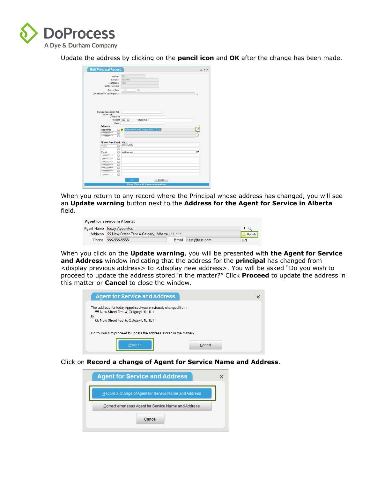

Update the address by clicking on the **pencil icon** and **OK** after the change has been made.

|                               | Gender            | Male                                                 |               |
|-------------------------------|-------------------|------------------------------------------------------|---------------|
|                               | Surname           | Appointed                                            |               |
|                               | <b>First Name</b> | today                                                |               |
| Middle Name(s)                |                   |                                                      |               |
|                               | Date of Birth     | $\frac{1}{21}$<br>П                                  |               |
| Country(ies) for Tax Purposes |                   |                                                      | Q             |
|                               |                   |                                                      |               |
|                               |                   |                                                      |               |
| College Registration # (if    |                   |                                                      |               |
| applicable)                   | Occupation        |                                                      |               |
|                               | Resident Yes I    | Citizenship                                          |               |
|                               | Dear              |                                                      |               |
| <b>Address</b>                |                   |                                                      |               |
| Residence                     | $\Box$            | 55 New Street Test 4, Calgary, Alberta L1L 1L1<br>D. |               |
| 2222222222                    | $\Box$            |                                                      | $\frac{1}{2}$ |
|                               | Ω                 |                                                      |               |
|                               |                   |                                                      |               |
| Phone, Fax, Email, Misc.      |                   |                                                      |               |
| Phone                         | ū                 | 555-555-5555                                         |               |
| Fax                           | o                 |                                                      |               |
| Email                         | ū                 | test@test.com                                        | F.            |
| $2222222222$                  | $\Box$            |                                                      |               |
| 2222222222                    | $\Box$            |                                                      |               |
|                               | $\overline{a}$    |                                                      |               |
| 2222222222                    | $\overline{a}$    |                                                      |               |
| 2222222222                    |                   |                                                      |               |
| $2222222222$                  | $\Box$            |                                                      |               |
| 2222222222                    | $\overline{a}$    |                                                      |               |
| ??????????                    | Q                 |                                                      |               |

When you return to any record where the Principal whose address has changed, you will see an **Update warning** button next to the **Address for the Agent for Service in Alberta** field.

| <b>Agent for Service in Alberta:</b> |                                                       |       |               |    |        |  |  |
|--------------------------------------|-------------------------------------------------------|-------|---------------|----|--------|--|--|
|                                      | Agent Name today Appointed                            |       |               |    |        |  |  |
|                                      | Address 55 New Street Test 4 Calgary, Alberta L1L 1L1 |       |               |    | Update |  |  |
|                                      | Phone 555-555-5555                                    | Email | test@test.com | ГF |        |  |  |

When you click on the **Update warning**, you will be presented with **the Agent for Service and Address** window indicating that the address for the **principal** has changed from <display previous address> to <display new address>. You will be asked "Do you wish to proceed to update the address stored in the matter?" Click **Proceed** to update the address in this matter or **Cancel** to close the window.

| <b>Agent for Service and Address</b>                                                                                                                  |        |
|-------------------------------------------------------------------------------------------------------------------------------------------------------|--------|
| The address for today Appointed was previously changed from:<br>55 New Street Test 4, Calgary L1L 1L1<br>to:<br>55 New Street Test 5, Calgary L1L 1L1 |        |
| Do you wish to proceed to update the address stored in the matter?                                                                                    |        |
| Proceed                                                                                                                                               | Cancel |

Click on **Record a change of Agent for Service Name and Address**.

| <b>Agent for Service and Address</b>                  |  |  |  |  |  |
|-------------------------------------------------------|--|--|--|--|--|
| Record a change of Agent for Service Name and Address |  |  |  |  |  |
| Correct erroneous Agent for Service Name and Address  |  |  |  |  |  |
| Cancel                                                |  |  |  |  |  |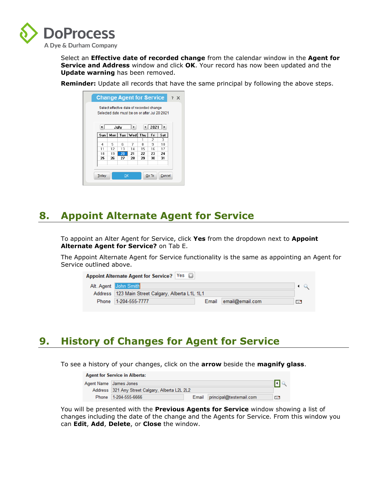

Select an **Effective date of recorded change** from the calendar window in the **Agent for Service and Address** window and click **OK**. Your record has now been updated and the **Update warning** has been removed.

**Reminder:** Update all records that have the same principal by following the above steps.

|       | Select effective date of recorded change<br>Selected date must be on or after Jul 20 2021 |      |    |    |       |        |
|-------|-------------------------------------------------------------------------------------------|------|----|----|-------|--------|
| ◀     |                                                                                           | July | ⊪  |    | 2021  | ⊩      |
|       | Sun   Mon   Tue   Wed   Thu                                                               |      |    |    | Fri   | Sat    |
|       |                                                                                           |      |    | 1  | 2     | з      |
| 4     | 5                                                                                         | Б    | 7  | я  | 9     | 10     |
| 11    | 12                                                                                        | 13   | 14 | 15 | 16    | 17     |
| 18    | 19                                                                                        | 20   | 21 | 22 | 23    | 24     |
| 25    | 26                                                                                        | 27   | 28 | 29 | 30    | 31     |
| Today |                                                                                           | OK   |    |    | Go To | Cancel |

### **8. Appoint Alternate Agent for Service**

To appoint an Alter Agent for Service, click **Yes** from the dropdown next to **Appoint Alternate Agent for Service?** on Tab E.

The Appoint Alternate Agent for Service functionality is the same as appointing an Agent for Service outlined above.

| Appoint Alternate Agent for Service?   Yes |                                                    |  |                       |            |  |  |  |  |
|--------------------------------------------|----------------------------------------------------|--|-----------------------|------------|--|--|--|--|
|                                            | Alt. Agent John Smith                              |  |                       |            |  |  |  |  |
|                                            | Address   123 Main Street Calgary, Alberta L1L 1L1 |  |                       |            |  |  |  |  |
|                                            | Phone 1-204-555-7777                               |  | Email email@email.com | <b>THE</b> |  |  |  |  |

### **9. History of Changes for Agent for Service**

To see a history of your changes, click on the **arrow** beside the **magnify glass**.

| <b>Agent for Service in Alberta:</b> |                                                 |       |                         |    |  |
|--------------------------------------|-------------------------------------------------|-------|-------------------------|----|--|
|                                      | Agent Name James Jones                          |       |                         |    |  |
|                                      | Address 321 Any Street Calgary, Alberta L2L 2L2 |       |                         |    |  |
|                                      | Phone 1-204-555-6666                            | Email | principal@testemail.com | ГF |  |

You will be presented with the **Previous Agents for Service** window showing a list of changes including the date of the change and the Agents for Service. From this window you can **Edit**, **Add**, **Delete**, or **Close** the window.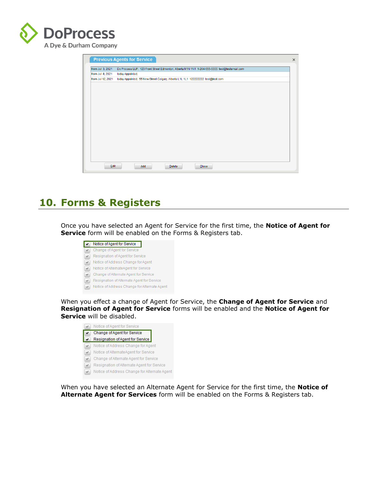

|                  | <b>Previous Agents for Service</b>                                                                |  |
|------------------|---------------------------------------------------------------------------------------------------|--|
| from Jul 3, 2021 | Do Process LLP, 123 Front Street Edmonton, Alberta M1N 1N1 1-204-555-5555 test@testemail.com      |  |
| from Jul 8, 2021 | today Appointed,                                                                                  |  |
|                  | from Jul 12, 2021 today Appointed, 55 New Street Calgary, Alberta L1L 1L1 122222222 test@test.com |  |
|                  |                                                                                                   |  |
|                  |                                                                                                   |  |
|                  |                                                                                                   |  |
|                  |                                                                                                   |  |
|                  |                                                                                                   |  |
|                  |                                                                                                   |  |
|                  |                                                                                                   |  |
|                  |                                                                                                   |  |
|                  |                                                                                                   |  |
|                  |                                                                                                   |  |
|                  |                                                                                                   |  |
|                  |                                                                                                   |  |
|                  |                                                                                                   |  |
|                  |                                                                                                   |  |
|                  |                                                                                                   |  |
|                  |                                                                                                   |  |
| Edit             | Add<br>$C$ lose<br><b>Delete</b>                                                                  |  |

### **10. Forms & Registers**

Once you have selected an Agent for Service for the first time, the **Notice of Agent for Service** form will be enabled on the Forms & Registers tab.

| Notice of Agent for Service                  |
|----------------------------------------------|
| Change of Agent for Service                  |
| Resignation of Agent for Service             |
| Notice of Address Change for Agent           |
| Notice of AlternateAgent for Service         |
| Change of Alternate Agent for Service        |
| Resignation of Alternate Agent for Service   |
| Notice of Address Change for Alternate Agent |

When you effect a change of Agent for Service, the **Change of Agent for Service** and **Resignation of Agent for Service** forms will be enabled and the **Notice of Agent for Service** will be disabled.



When you have selected an Alternate Agent for Service for the first time, the **Notice of Alternate Agent for Services** form will be enabled on the Forms & Registers tab.